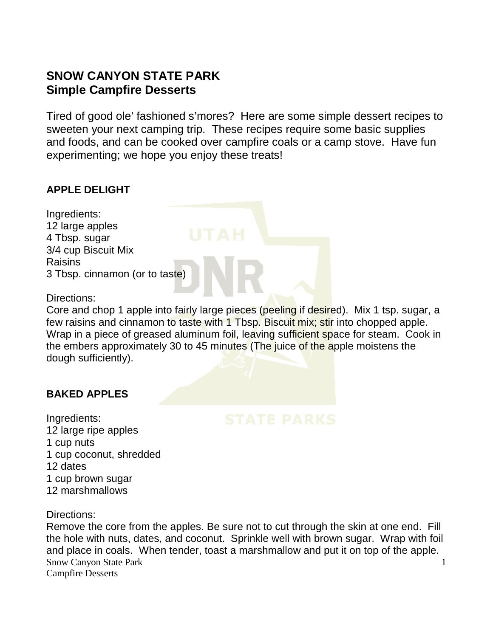# **SNOW CANYON STATE PARK Simple Campfire Desserts**

Tired of good ole' fashioned s'mores? Here are some simple dessert recipes to sweeten your next camping trip. These recipes require some basic supplies and foods, and can be cooked over campfire coals or a camp stove. Have fun experimenting; we hope you enjoy these treats!

#### **APPLE DELIGHT**

Ingredients: 12 large apples 4 Tbsp. sugar 3/4 cup Biscuit Mix **Raisins** 3 Tbsp. cinnamon (or to taste)

Directions:

Core and chop 1 apple into fairly large pieces (peeling if desired). Mix 1 tsp. sugar, a few raisins and cinnamon to taste with 1 Tbsp. Biscuit mix; stir into chopped apple. Wrap in a piece of greased aluminum foil, leaving sufficient space for steam. Cook in the embers approximately 30 to 45 minutes (The juice of the apple moistens the dough sufficiently).

#### **BAKED APPLES**

Ingredients: 12 large ripe apples 1 cup nuts 1 cup coconut, shredded 12 dates 1 cup brown sugar 12 marshmallows

Directions:

Snow Canyon State Park Campfire Desserts 1 Remove the core from the apples. Be sure not to cut through the skin at one end. Fill the hole with nuts, dates, and coconut. Sprinkle well with brown sugar. Wrap with foil and place in coals. When tender, toast a marshmallow and put it on top of the apple.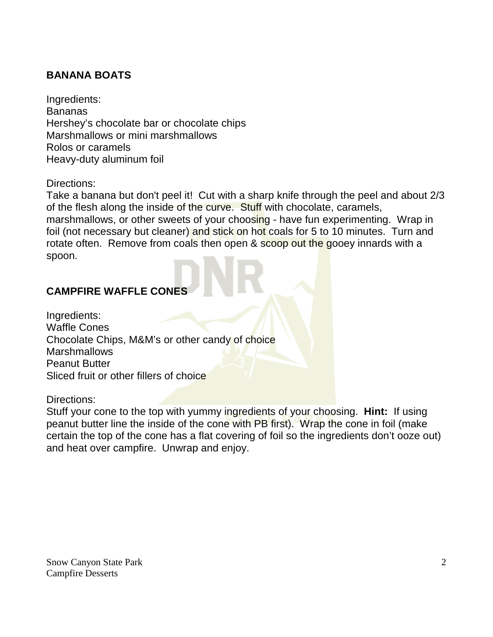## **BANANA BOATS**

Ingredients: Bananas Hershey's chocolate bar or chocolate chips Marshmallows or mini marshmallows Rolos or caramels Heavy-duty aluminum foil

Directions:

Take a banana but don't peel it! Cut with a sharp knife through the peel and about 2/3 of the flesh along the inside of the curve. Stuff with chocolate, caramels,

marshmallows, or other sweets of your choosing - have fun experimenting. Wrap in foil (not necessary but cleaner) and stick on hot coals for 5 to 10 minutes. Turn and rotate often. Remove from coals then open & scoop out the gooey innards with a spoon.

# **CAMPFIRE WAFFLE CONES**

Ingredients: Waffle Cones Chocolate Chips, M&M's or other candy of choice Marshmallows Peanut Butter Sliced fruit or other fillers of choice

Directions:

Stuff your cone to the top with yummy ingredients of your choosing. **Hint:** If using peanut butter line the inside of the cone with PB first). Wrap the cone in foil (make certain the top of the cone has a flat covering of foil so the ingredients don't ooze out) and heat over campfire. Unwrap and enjoy.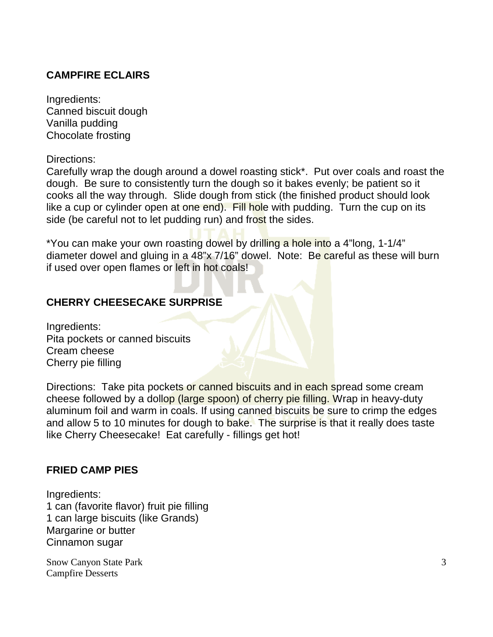#### **CAMPFIRE ECLAIRS**

Ingredients: Canned biscuit dough Vanilla pudding Chocolate frosting

Directions:

Carefully wrap the dough around a dowel roasting stick\*. Put over coals and roast the dough. Be sure to consistently turn the dough so it bakes evenly; be patient so it cooks all the way through. Slide dough from stick (the finished product should look like a cup or cylinder open at one end). Fill hole with pudding. Turn the cup on its side (be careful not to let pudding run) and frost the sides.

\*You can make your own roasting dowel by drilling a hole into a 4"long, 1-1/4" diameter dowel and gluing in a 48"x 7/16" dowel. Note: Be careful as these will burn if used over open flames or left in hot coals!

#### **CHERRY CHEESECAKE SURPRISE**

Ingredients: Pita pockets or canned biscuits Cream cheese Cherry pie filling

Directions: Take pita pockets or canned biscuits and in each spread some cream cheese followed by a dollop (large spoon) of cherry pie filling. Wrap in heavy-duty aluminum foil and warm in coals. If using canned biscuits be sure to crimp the edges and allow 5 to 10 minutes for dough to bake. The surprise is that it really does taste like Cherry Cheesecake! Eat carefully - fillings get hot!

#### **FRIED CAMP PIES**

Ingredients: 1 can (favorite flavor) fruit pie filling 1 can large biscuits (like Grands) Margarine or butter Cinnamon sugar

Snow Canyon State Park Campfire Desserts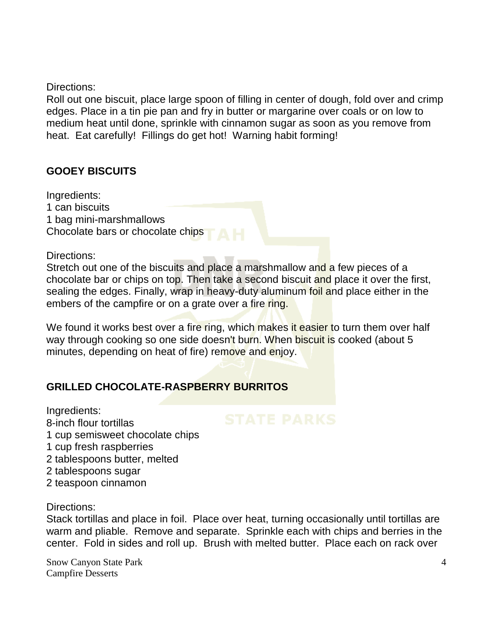Directions:

Roll out one biscuit, place large spoon of filling in center of dough, fold over and crimp edges. Place in a tin pie pan and fry in butter or margarine over coals or on low to medium heat until done, sprinkle with cinnamon sugar as soon as you remove from heat. Eat carefully! Fillings do get hot! Warning habit forming!

#### **GOOEY BISCUITS**

Ingredients: 1 can biscuits 1 bag mini-marshmallows Chocolate bars or chocolate chips

Directions:

Stretch out one of the biscuits and place a marshmallow and a few pieces of a chocolate bar or chips on top. Then take a second biscuit and place it over the first, sealing the edges. Finally, wrap in heavy-duty aluminum foil and place either in the embers of the campfire or on a grate over a fire ring.

We found it works best over a fire ring, which makes it easier to turn them over half way through cooking so one side doesn't burn. When biscuit is cooked (about 5 minutes, depending on heat of fire) remove and enjoy.

## **GRILLED CHOCOLATE-RASPBERRY BURRITOS**

Ingredients:

8-inch flour tortillas

- 1 cup semisweet chocolate chips
- 1 cup fresh raspberries
- 2 tablespoons butter, melted
- 2 tablespoons sugar
- 2 teaspoon cinnamon

#### Directions:

Stack tortillas and place in foil. Place over heat, turning occasionally until tortillas are warm and pliable. Remove and separate. Sprinkle each with chips and berries in the center. Fold in sides and roll up. Brush with melted butter. Place each on rack over

Snow Canyon State Park Campfire Desserts